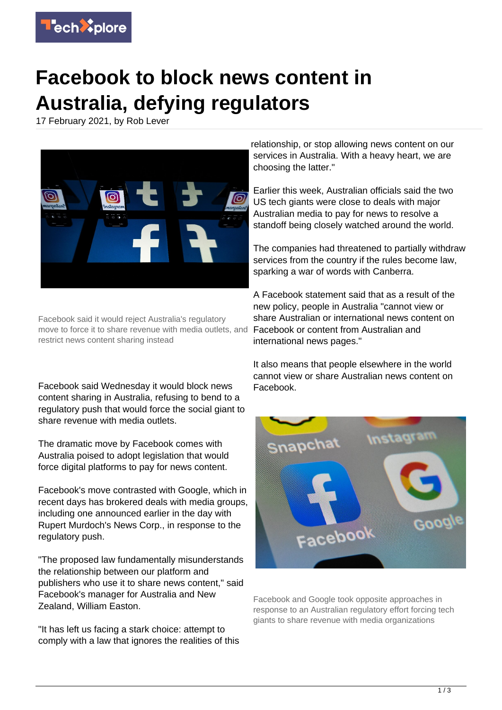

## **Facebook to block news content in Australia, defying regulators**

17 February 2021, by Rob Lever



Facebook said it would reject Australia's regulatory move to force it to share revenue with media outlets, and restrict news content sharing instead

Facebook said Wednesday it would block news content sharing in Australia, refusing to bend to a regulatory push that would force the social giant to share revenue with media outlets.

The dramatic move by Facebook comes with Australia poised to adopt legislation that would force digital platforms to pay for news content.

Facebook's move contrasted with Google, which in recent days has brokered deals with media groups, including one announced earlier in the day with Rupert Murdoch's News Corp., in response to the regulatory push.

"The proposed law fundamentally misunderstands the relationship between our platform and publishers who use it to share news content," said Facebook's manager for Australia and New Zealand, William Easton.

"It has left us facing a stark choice: attempt to comply with a law that ignores the realities of this relationship, or stop allowing news content on our services in Australia. With a heavy heart, we are choosing the latter."

Earlier this week, Australian officials said the two US tech giants were close to deals with major Australian media to pay for news to resolve a standoff being closely watched around the world.

The companies had threatened to partially withdraw services from the country if the rules become law, sparking a war of words with Canberra.

A Facebook statement said that as a result of the new policy, people in Australia "cannot view or share Australian or international news content on Facebook or content from Australian and international news pages."

It also means that people elsewhere in the world cannot view or share Australian news content on Facebook.



Facebook and Google took opposite approaches in response to an Australian regulatory effort forcing tech giants to share revenue with media organizations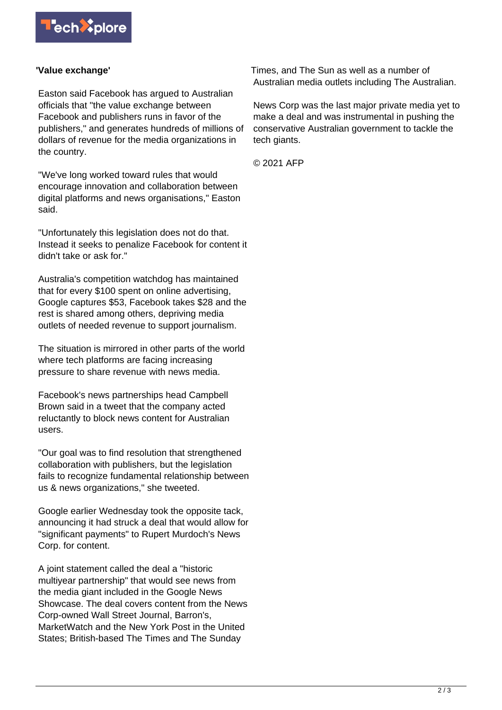

## **'Value exchange'**

Easton said Facebook has argued to Australian officials that "the value exchange between Facebook and publishers runs in favor of the publishers," and generates hundreds of millions of dollars of revenue for the media organizations in the country.

"We've long worked toward rules that would encourage innovation and collaboration between digital platforms and news organisations," Easton said.

"Unfortunately this legislation does not do that. Instead it seeks to penalize Facebook for content it didn't take or ask for."

Australia's competition watchdog has maintained that for every \$100 spent on online advertising, Google captures \$53, Facebook takes \$28 and the rest is shared among others, depriving media outlets of needed revenue to support journalism.

The situation is mirrored in other parts of the world where tech platforms are facing increasing pressure to share revenue with news media.

Facebook's news partnerships head Campbell Brown said in a tweet that the company acted reluctantly to block news content for Australian users.

"Our goal was to find resolution that strengthened collaboration with publishers, but the legislation fails to recognize fundamental relationship between us & news organizations," she tweeted.

Google earlier Wednesday took the opposite tack, announcing it had struck a deal that would allow for "significant payments" to Rupert Murdoch's News Corp. for content.

A joint statement called the deal a "historic multiyear partnership" that would see news from the media giant included in the Google News Showcase. The deal covers content from the News Corp-owned Wall Street Journal, Barron's, MarketWatch and the New York Post in the United States; British-based The Times and The Sunday

Times, and The Sun as well as a number of Australian media outlets including The Australian.

News Corp was the last major private media yet to make a deal and was instrumental in pushing the conservative Australian government to tackle the tech giants.

© 2021 AFP